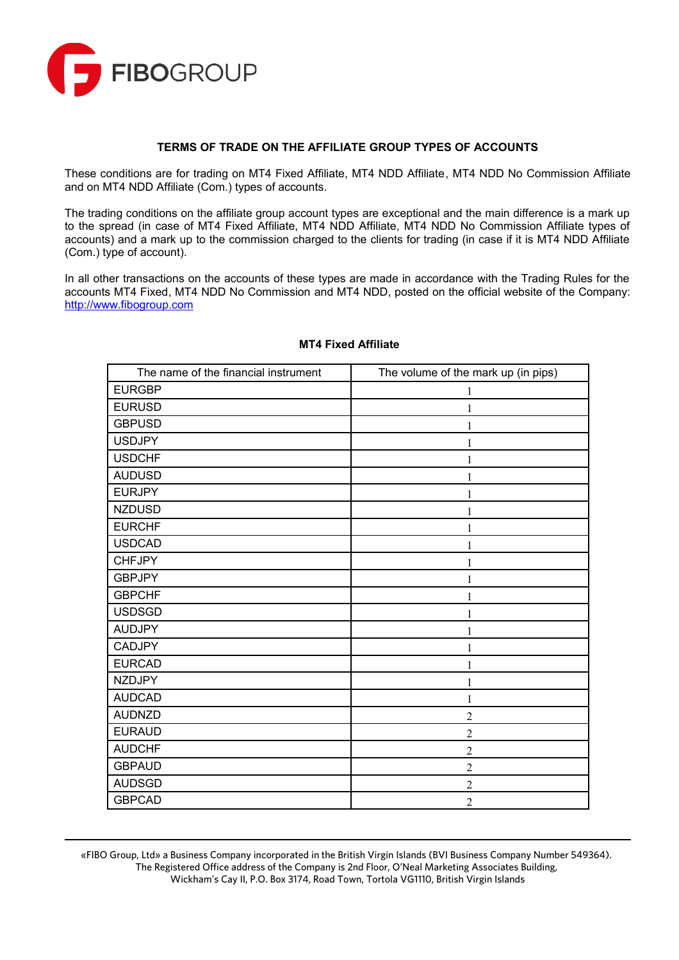

#### **TERMS OF TRADE ON THE AFFILIATE GROUP TYPES OF ACCOUNTS**

These conditions are for trading on MT4 Fixed Affiliate, MT4 NDD Affiliate, MT4 NDD No Commission Affiliate and on MT4 NDD Affiliate (Com.) types of accounts.

The trading conditions on the affiliate group account types are exceptional and the main difference is a mark up to the spread (in case of MT4 Fixed Affiliate, MT4 NDD Affiliate, MT4 NDD No Commission Affiliate types of accounts) and a mark up to the commission charged to the clients for trading (in case if it is MT4 NDD Affiliate (Com.) type of account).

In all other transactions on the accounts of these types are made in accordance with the Trading Rules for the accounts MT4 Fixed, MT4 NDD No Commission and MT4 NDD, posted on the official website of the Company: [http://www.fibogroup.com](http://www.fibogroup.com/)

| The name of the financial instrument | The volume of the mark up (in pips) |
|--------------------------------------|-------------------------------------|
| <b>EURGBP</b>                        | 1                                   |
| <b>EURUSD</b>                        | 1                                   |
| <b>GBPUSD</b>                        | 1                                   |
| <b>USDJPY</b>                        | 1                                   |
| <b>USDCHF</b>                        | 1                                   |
| <b>AUDUSD</b>                        | 1                                   |
| <b>EURJPY</b>                        | $\mathbf{1}$                        |
| <b>NZDUSD</b>                        | 1                                   |
| <b>EURCHF</b>                        | 1                                   |
| <b>USDCAD</b>                        | 1                                   |
| <b>CHFJPY</b>                        | 1                                   |
| <b>GBPJPY</b>                        | 1                                   |
| <b>GBPCHF</b>                        | 1                                   |
| <b>USDSGD</b>                        | 1                                   |
| <b>AUDJPY</b>                        | 1                                   |
| <b>CADJPY</b>                        | 1                                   |
| <b>EURCAD</b>                        | 1                                   |
| <b>NZDJPY</b>                        | 1                                   |
| <b>AUDCAD</b>                        | $\mathbf{1}$                        |
| <b>AUDNZD</b>                        | $\overline{2}$                      |
| <b>EURAUD</b>                        | $\mathfrak{2}$                      |
| <b>AUDCHF</b>                        | $\overline{2}$                      |
| <b>GBPAUD</b>                        | $\overline{c}$                      |
| <b>AUDSGD</b>                        | $\overline{c}$                      |
| <b>GBPCAD</b>                        | $\overline{2}$                      |

### **MT4 Fixed Affiliate**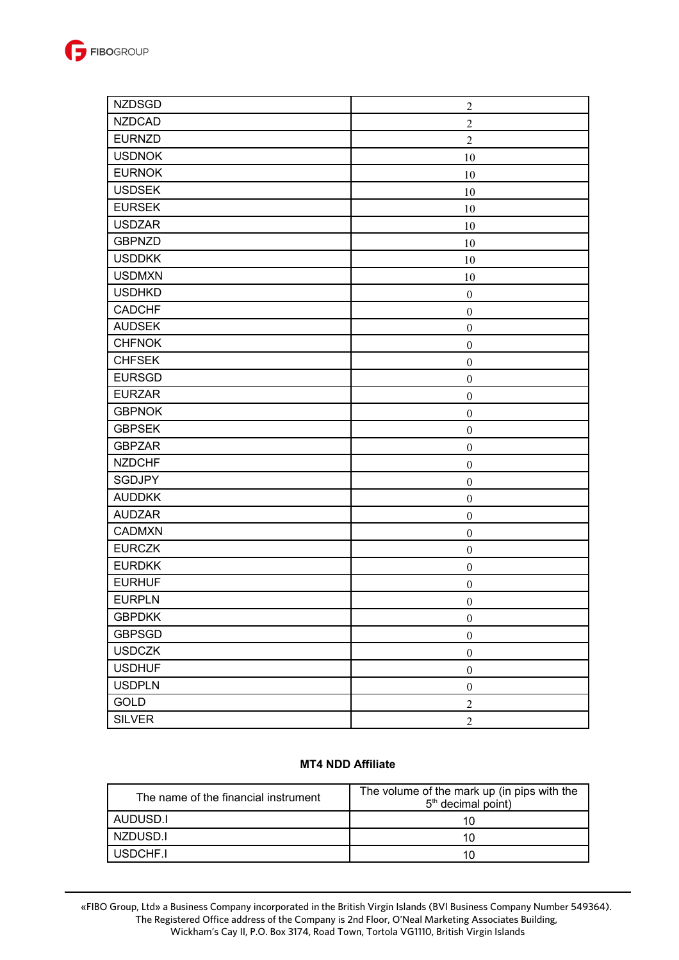

| <b>NZDSGD</b> | $\boldsymbol{2}$ |
|---------------|------------------|
| <b>NZDCAD</b> | $\sqrt{2}$       |
| <b>EURNZD</b> | $\overline{2}$   |
| <b>USDNOK</b> | 10               |
| <b>EURNOK</b> | 10               |
| <b>USDSEK</b> | 10               |
| <b>EURSEK</b> | 10               |
| <b>USDZAR</b> | 10               |
| <b>GBPNZD</b> | 10               |
| <b>USDDKK</b> | 10               |
| <b>USDMXN</b> | 10               |
| <b>USDHKD</b> | $\boldsymbol{0}$ |
| <b>CADCHF</b> | $\boldsymbol{0}$ |
| <b>AUDSEK</b> | $\boldsymbol{0}$ |
| <b>CHFNOK</b> | $\boldsymbol{0}$ |
| <b>CHFSEK</b> | $\boldsymbol{0}$ |
| <b>EURSGD</b> | $\boldsymbol{0}$ |
| <b>EURZAR</b> | $\boldsymbol{0}$ |
| <b>GBPNOK</b> | $\boldsymbol{0}$ |
| <b>GBPSEK</b> | $\boldsymbol{0}$ |
| <b>GBPZAR</b> | $\boldsymbol{0}$ |
| <b>NZDCHF</b> | $\boldsymbol{0}$ |
| <b>SGDJPY</b> | $\boldsymbol{0}$ |
| <b>AUDDKK</b> | $\boldsymbol{0}$ |
| <b>AUDZAR</b> | $\boldsymbol{0}$ |
| <b>CADMXN</b> | $\boldsymbol{0}$ |
| <b>EURCZK</b> | $\boldsymbol{0}$ |
| <b>EURDKK</b> | $\boldsymbol{0}$ |
| <b>EURHUF</b> | $\boldsymbol{0}$ |
| <b>EURPLN</b> | $\boldsymbol{0}$ |
| <b>GBPDKK</b> | $\boldsymbol{0}$ |
| <b>GBPSGD</b> | $\boldsymbol{0}$ |
| <b>USDCZK</b> | $\boldsymbol{0}$ |
| <b>USDHUF</b> | $\boldsymbol{0}$ |
| <b>USDPLN</b> | $\boldsymbol{0}$ |
| <b>GOLD</b>   | $\sqrt{2}$       |
| <b>SILVER</b> | $\sqrt{2}$       |

### **MT4 NDD Affiliate**

| The name of the financial instrument | The volume of the mark up (in pips with the<br>$5th$ decimal point) |
|--------------------------------------|---------------------------------------------------------------------|
| AUDUSD.I                             | 10                                                                  |
| NZDUSD.I                             | 10                                                                  |
| USDCHE.I                             | 10                                                                  |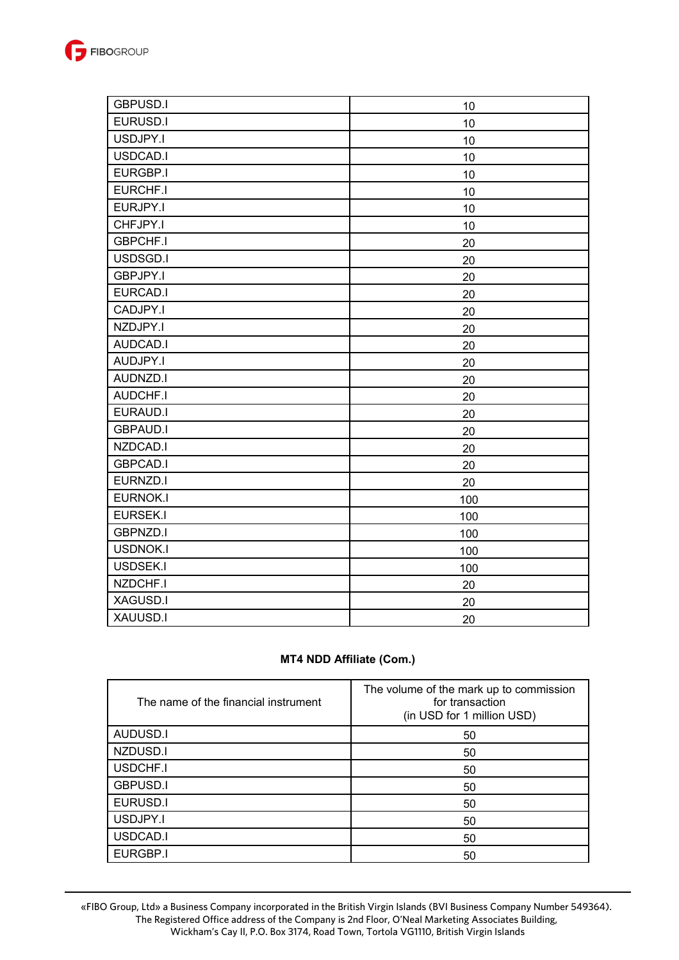

| <b>GBPUSD.I</b> | 10  |
|-----------------|-----|
| EURUSD.I        | 10  |
| USDJPY.I        | 10  |
| USDCAD.I        | 10  |
| EURGBP.I        | 10  |
| EURCHF.I        | 10  |
| EURJPY.I        | 10  |
| CHFJPY.I        | 10  |
| <b>GBPCHF.I</b> | 20  |
| USDSGD.I        | 20  |
| <b>GBPJPY.I</b> | 20  |
| EURCAD.I        | 20  |
| CADJPY.I        | 20  |
| NZDJPY.I        | 20  |
| AUDCAD.I        | 20  |
| AUDJPY.I        | 20  |
| AUDNZD.I        | 20  |
| AUDCHF.I        | 20  |
| EURAUD.I        | 20  |
| <b>GBPAUD.I</b> | 20  |
| NZDCAD.I        | 20  |
| <b>GBPCAD.I</b> | 20  |
| EURNZD.I        | 20  |
| <b>EURNOK.I</b> | 100 |
| EURSEK.I        | 100 |
| <b>GBPNZD.I</b> | 100 |
| <b>USDNOK.I</b> | 100 |
| USDSEK.I        | 100 |
| NZDCHF.I        | 20  |
| XAGUSD.I        | 20  |
| XAUUSD.I        | 20  |

# **MT4 NDD Affiliate (Com.)**

| The name of the financial instrument | The volume of the mark up to commission<br>for transaction<br>(in USD for 1 million USD) |
|--------------------------------------|------------------------------------------------------------------------------------------|
| AUDUSD.I                             | 50                                                                                       |
| NZDUSD.I                             | 50                                                                                       |
| USDCHF.I                             | 50                                                                                       |
| <b>GBPUSD.I</b>                      | 50                                                                                       |
| EURUSD.I                             | 50                                                                                       |
| USDJPY.I                             | 50                                                                                       |
| USDCAD.I                             | 50                                                                                       |
| <b>EURGBP.I</b>                      | 50                                                                                       |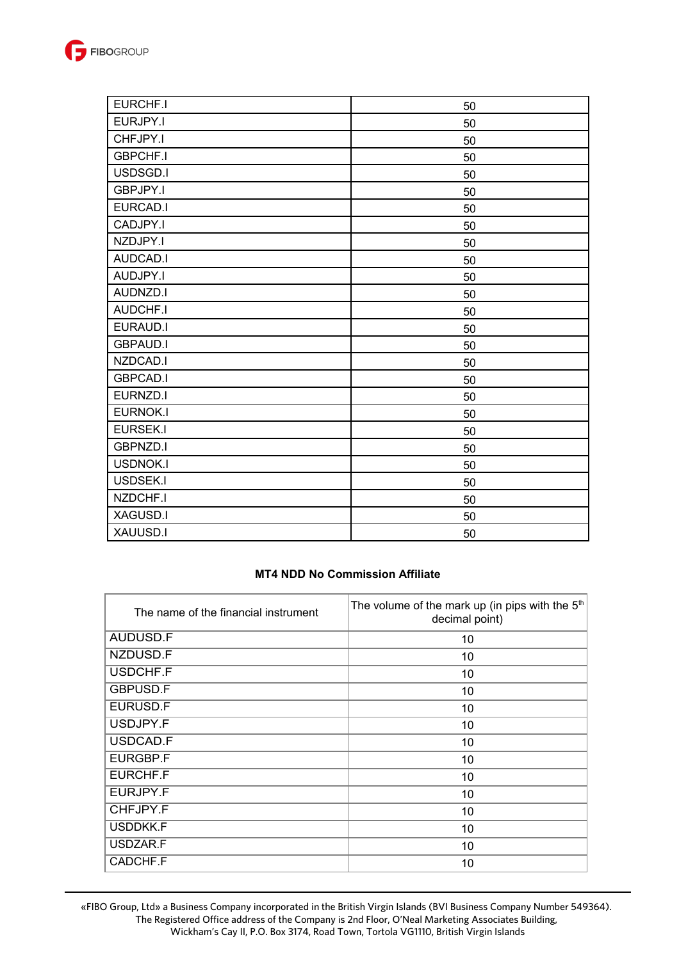

| EURCHF.I        | 50 |
|-----------------|----|
| EURJPY.I        | 50 |
| CHFJPY.I        | 50 |
| <b>GBPCHF.I</b> | 50 |
| USDSGD.I        | 50 |
| GBPJPY.I        | 50 |
| EURCAD.I        | 50 |
| CADJPY.I        | 50 |
| NZDJPY.I        | 50 |
| AUDCAD.I        | 50 |
| AUDJPY.I        | 50 |
| AUDNZD.I        | 50 |
| <b>AUDCHF.I</b> | 50 |
| <b>EURAUD.I</b> | 50 |
| <b>GBPAUD.I</b> | 50 |
| NZDCAD.I        | 50 |
| <b>GBPCAD.I</b> | 50 |
| EURNZD.I        | 50 |
| <b>EURNOK.I</b> | 50 |
| <b>EURSEK.I</b> | 50 |
| <b>GBPNZD.I</b> | 50 |
| <b>USDNOK.I</b> | 50 |
| <b>USDSEK.I</b> | 50 |
| NZDCHF.I        | 50 |
| XAGUSD.I        | 50 |
| XAUUSD.I        | 50 |

# **MT4 NDD No Commission Affiliate**

| The name of the financial instrument | The volume of the mark up (in pips with the $5th$<br>decimal point) |
|--------------------------------------|---------------------------------------------------------------------|
| AUDUSD.F                             | 10                                                                  |
| NZDUSD.F                             | 10                                                                  |
| USDCHF.F                             | 10                                                                  |
| <b>GBPUSD.F</b>                      | 10                                                                  |
| EURUSD.F                             | 10                                                                  |
| USDJPY.F                             | 10                                                                  |
| USDCAD.F                             | 10                                                                  |
| EURGBP.F                             | 10                                                                  |
| EURCHF.F                             | 10                                                                  |
| EURJPY.F                             | 10                                                                  |
| CHFJPY.F                             | 10                                                                  |
| USDDKK.F                             | 10                                                                  |
| USDZAR.F                             | 10                                                                  |
| CADCHF.F                             | 10                                                                  |